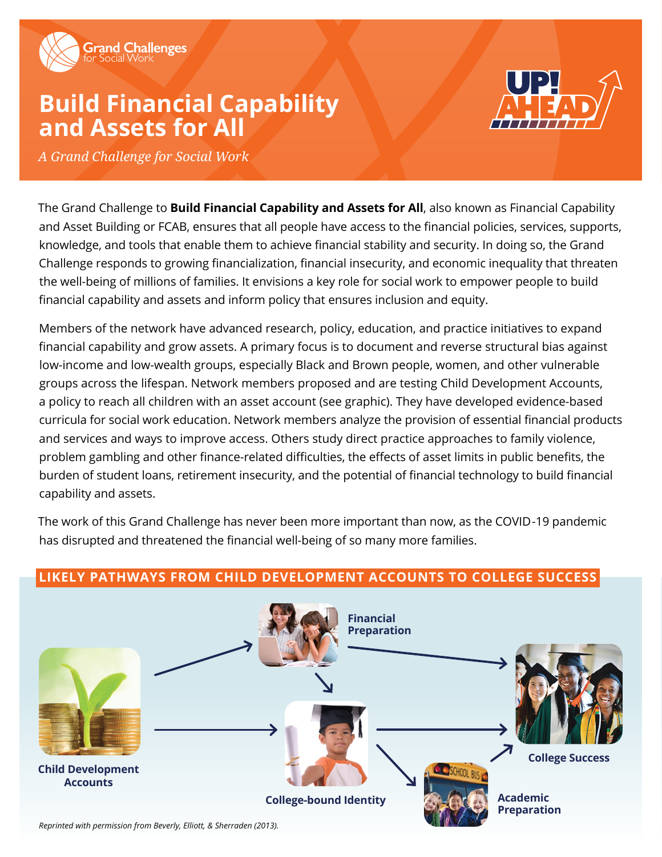

# **Build Financial Capability and Assets for All**



*A Grand Challenge for Social Work*

The Grand Challenge to **Build Financial Capability and Assets for All**, also known as Financial Capability and Asset Building or FCAB, ensures that all people have access to the financial policies, services, supports, knowledge, and tools that enable them to achieve financial stability and security. In doing so, the Grand Challenge responds to growing financialization, financial insecurity, and economic inequality that threaten the well-being of millions of families. It envisions a key role for social work to empower people to build financial capability and assets and inform policy that ensures inclusion and equity.

Members of the network have advanced research, policy, education, and practice initiatives to expand financial capability and grow assets. A primary focus is to document and reverse structural bias against low-income and low-wealth groups, especially Black and Brown people, women, and other vulnerable groups across the lifespan. Network members proposed and are testing Child Development Accounts, a policy to reach all children with an asset account (see graphic). They have developed evidence-based curricula for social work education. Network members analyze the provision of essential financial products and services and ways to improve access. Others study direct practice approaches to family violence, problem gambling and other finance-related difficulties, the effects of asset limits in public benefits, the burden of student loans, retirement insecurity, and the potential of financial technology to build financial capability and assets.

The work of this Grand Challenge has never been more important than now, as the COVID -19 pandemic has disrupted and threatened the financial well-being of so many more families.



## **LIKELY PATHWAYS FROM CHILD DEVELOPMENT ACCOUNTS TO COLLEGE SUCCESS**

*Reprinted with permission from Beverly, Elliott, & Sherraden (2013).*